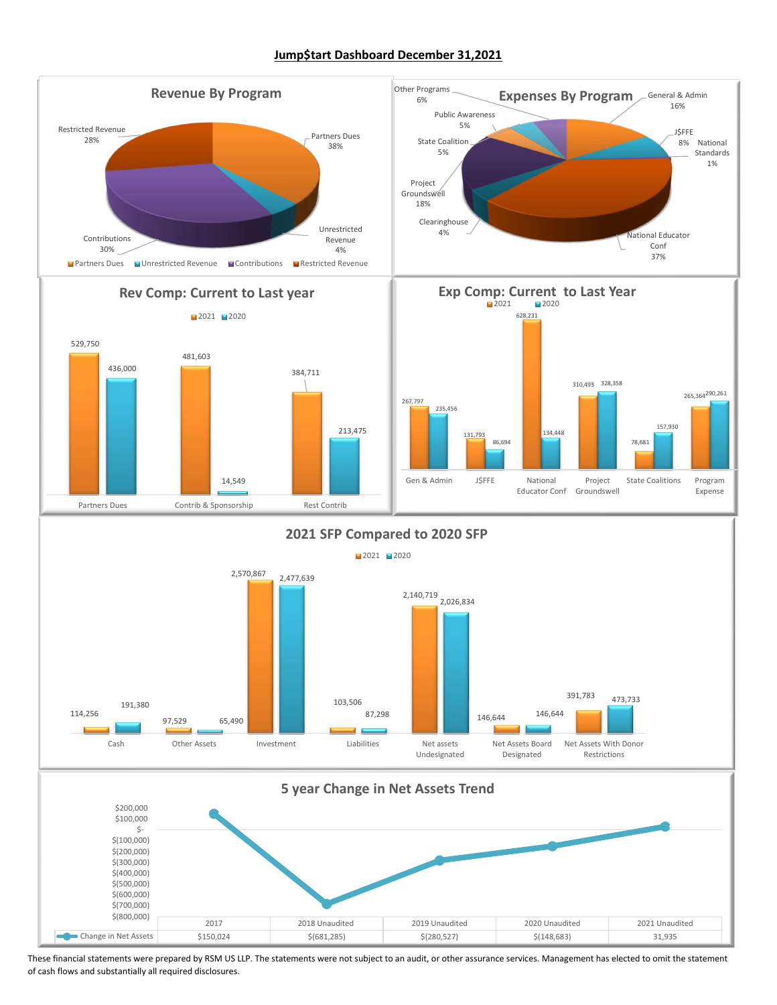#### Jump\$tart Dashboard December 31,2021



These financial statements were prepared by RSM US LLP. The statements were not subject to an audit, or other assurance services. Management has elected to omit the statement of cash flows and substantially all required disclosures.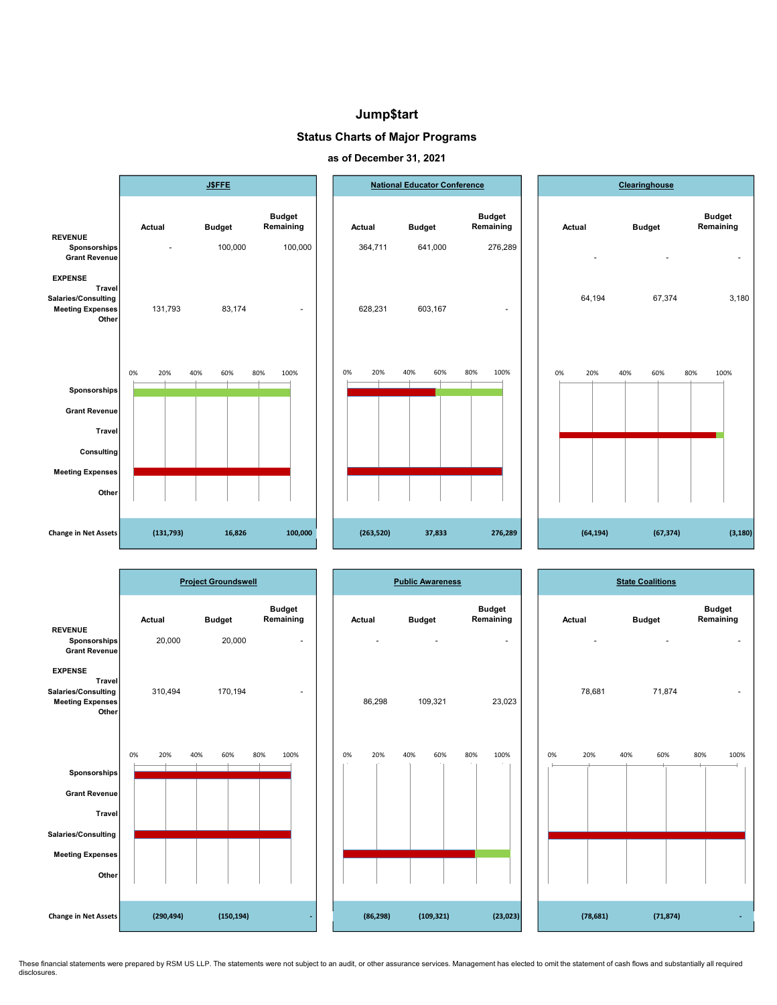#### Jump\$tart

#### Status Charts of Major Programs





|                                                                                     |            | <b>Project Groundswell</b> |                            |    |           | <b>Public Awareness</b> |                            |           |     | <b>State Coalitions</b> |                            |
|-------------------------------------------------------------------------------------|------------|----------------------------|----------------------------|----|-----------|-------------------------|----------------------------|-----------|-----|-------------------------|----------------------------|
|                                                                                     | Actual     | <b>Budget</b>              | <b>Budget</b><br>Remaining |    | Actual    | <b>Budget</b>           | <b>Budget</b><br>Remaining | Actual    |     | <b>Budget</b>           | <b>Budget</b><br>Remaining |
| <b>REVENUE</b><br>Sponsorships<br>Grant Revenue                                     | 20,000     | 20,000                     | $\sim$                     |    |           |                         | $\sim$                     |           |     |                         | $\sim$                     |
| <b>EXPENSE</b><br>Travel<br>Salaries/Consulting<br><b>Meeting Expenses</b><br>Other | 310,494    | 170,194                    | $\sim$                     |    | 86,298    | 109,321                 | 23,023                     | 78,681    |     | 71,874                  | $\sim$                     |
| Sponsorships                                                                        | 0%<br>20%  | 60%<br>40%                 | 80%<br>100%                | 0% | 20%       | 40%<br>60%              | 80%<br>100%                | 0%<br>20% | 40% | 60%                     | 80%<br>100%                |
| Grant Revenue<br><b>Travel</b><br>Salaries/Consulting                               |            |                            |                            |    |           |                         |                            |           |     |                         |                            |
| <b>Meeting Expenses</b><br>Other                                                    |            |                            |                            |    |           |                         |                            |           |     |                         |                            |
| Change in Net Assets                                                                | (290, 494) | (150, 194)                 |                            |    | (86, 298) | (109, 321)              | (23, 023)                  | (78, 681) |     | (71, 874)               | ÷                          |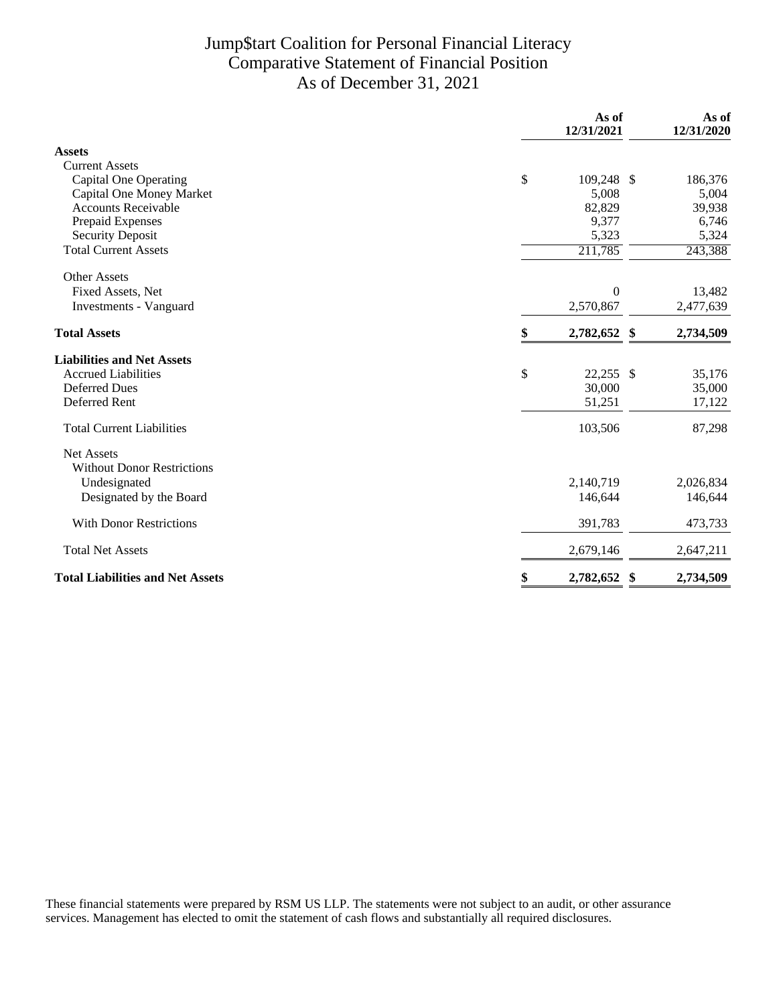## Jump\$tart Coalition for Personal Financial Literacy Comparative Statement of Financial Position As of December 31, 2021

|                                         | As of<br>12/31/2021 |          | As of<br>12/31/2020 |
|-----------------------------------------|---------------------|----------|---------------------|
| <b>Assets</b>                           |                     |          |                     |
| <b>Current Assets</b>                   |                     |          |                     |
| <b>Capital One Operating</b>            | \$<br>109,248 \$    |          | 186,376             |
| Capital One Money Market                | 5,008               |          | 5,004               |
| <b>Accounts Receivable</b>              | 82,829              |          | 39,938              |
| Prepaid Expenses                        | 9,377               |          | 6,746               |
| <b>Security Deposit</b>                 | 5,323               |          | 5,324               |
| <b>Total Current Assets</b>             | 211,785             |          | 243,388             |
| <b>Other Assets</b>                     |                     |          |                     |
| Fixed Assets, Net                       |                     | $\theta$ | 13,482              |
| <b>Investments - Vanguard</b>           | 2,570,867           |          | 2,477,639           |
| <b>Total Assets</b>                     | \$<br>2,782,652 \$  |          | 2,734,509           |
| <b>Liabilities and Net Assets</b>       |                     |          |                     |
| <b>Accrued Liabilities</b>              | \$<br>$22,255$ \$   |          | 35,176              |
| <b>Deferred Dues</b>                    | 30,000              |          | 35,000              |
| Deferred Rent                           | 51,251              |          | 17,122              |
| <b>Total Current Liabilities</b>        | 103,506             |          | 87,298              |
| Net Assets                              |                     |          |                     |
| <b>Without Donor Restrictions</b>       |                     |          |                     |
| Undesignated                            | 2,140,719           |          | 2,026,834           |
| Designated by the Board                 | 146,644             |          | 146,644             |
| <b>With Donor Restrictions</b>          | 391,783             |          | 473,733             |
| <b>Total Net Assets</b>                 | 2,679,146           |          | 2,647,211           |
| <b>Total Liabilities and Net Assets</b> | \$<br>2,782,652     | S        | 2,734,509           |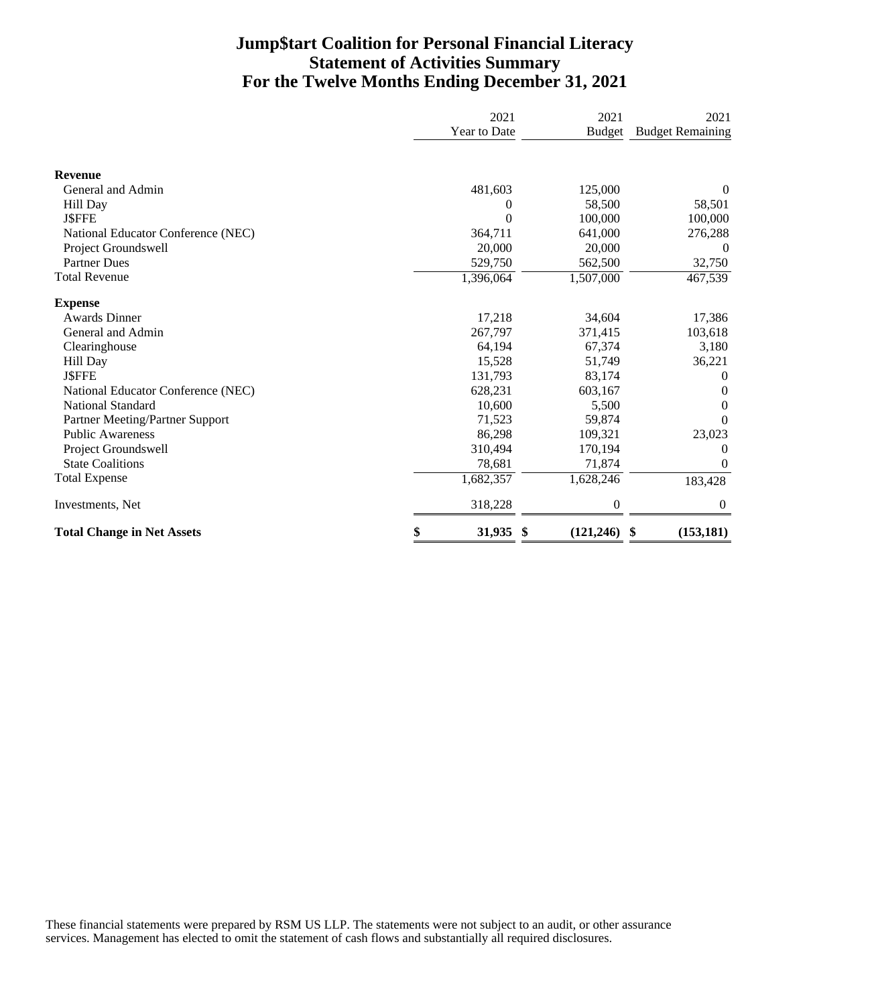### **Jump\$tart Coalition for Personal Financial Literacy Statement of Activities Summary For the Twelve Months Ending December 31, 2021**

|                                    | 2021         | 2021             | 2021                    |
|------------------------------------|--------------|------------------|-------------------------|
|                                    | Year to Date | <b>Budget</b>    | <b>Budget Remaining</b> |
| <b>Revenue</b>                     |              |                  |                         |
| General and Admin                  | 481,603      | 125,000          | $\boldsymbol{0}$        |
| Hill Day                           | 0            | 58,500           | 58,501                  |
| <b>J\$FFE</b>                      | 0            | 100,000          | 100,000                 |
| National Educator Conference (NEC) | 364,711      | 641,000          | 276,288                 |
| Project Groundswell                | 20,000       | 20,000           | $\theta$                |
| <b>Partner Dues</b>                | 529,750      | 562,500          | 32,750                  |
| <b>Total Revenue</b>               | 1,396,064    | 1,507,000        | 467,539                 |
| <b>Expense</b>                     |              |                  |                         |
| <b>Awards Dinner</b>               | 17,218       | 34,604           | 17,386                  |
| General and Admin                  | 267,797      | 371,415          | 103,618                 |
| Clearinghouse                      | 64,194       | 67,374           | 3,180                   |
| Hill Day                           | 15,528       | 51,749           | 36,221                  |
| <b>J\$FFE</b>                      | 131,793      | 83,174           | $\overline{0}$          |
| National Educator Conference (NEC) | 628,231      | 603,167          | 0                       |
| <b>National Standard</b>           | 10,600       | 5,500            | $\Omega$                |
| Partner Meeting/Partner Support    | 71,523       | 59,874           | $\Omega$                |
| <b>Public Awareness</b>            | 86,298       | 109,321          | 23,023                  |
| Project Groundswell                | 310,494      | 170,194          | 0                       |
| <b>State Coalitions</b>            | 78,681       | 71,874           | $\theta$                |
| <b>Total Expense</b>               | 1,682,357    | 1,628,246        | 183,428                 |
| Investments, Net                   | 318,228      | $\theta$         | $\boldsymbol{0}$        |
| <b>Total Change in Net Assets</b>  | \$<br>31,935 | (121, 246)<br>\$ | (153, 181)<br>\$        |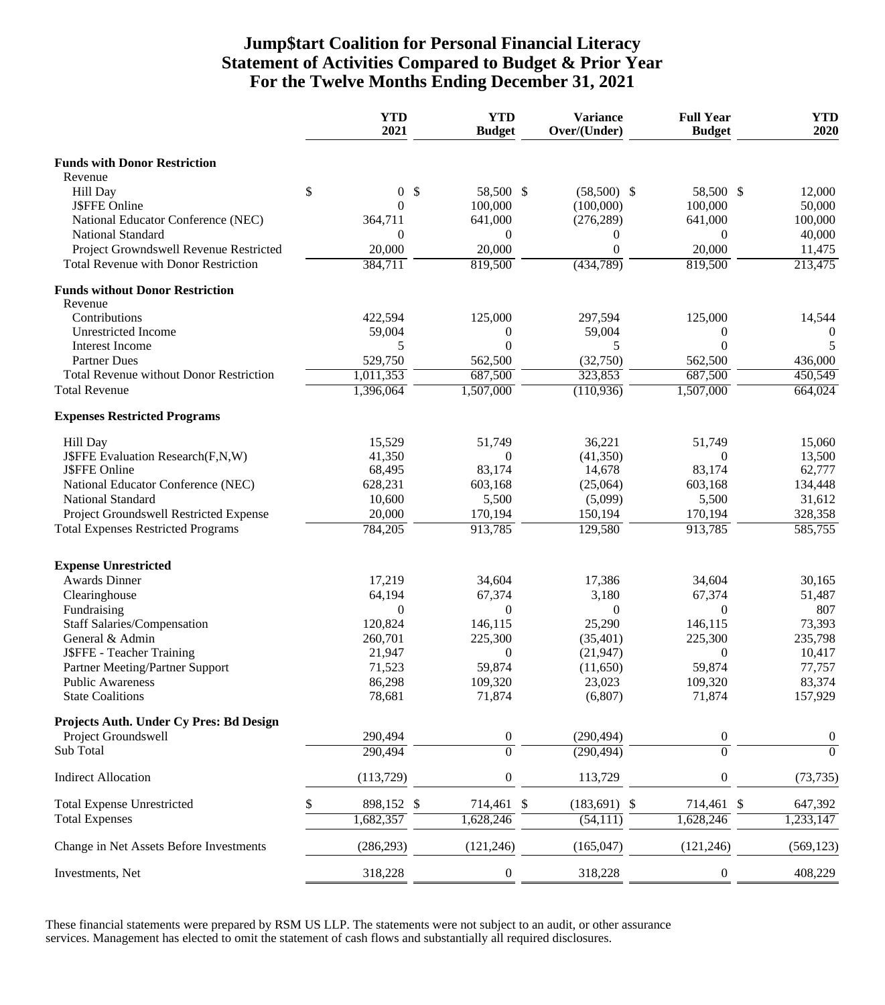### **Jump\$tart Coalition for Personal Financial Literacy Statement of Activities Compared to Budget & Prior Year For the Twelve Months Ending December 31, 2021**

|                                                   | <b>YTD</b><br>2021   | <b>YTD</b><br><b>Budget</b>            | <b>Variance</b><br>Over/(Under) | <b>Full Year</b><br><b>Budget</b> | <b>YTD</b><br>2020 |
|---------------------------------------------------|----------------------|----------------------------------------|---------------------------------|-----------------------------------|--------------------|
| <b>Funds with Donor Restriction</b>               |                      |                                        |                                 |                                   |                    |
| Revenue                                           |                      |                                        |                                 |                                   |                    |
| Hill Day                                          | \$<br>$\overline{0}$ | $\boldsymbol{\mathsf{S}}$<br>58,500 \$ | $(58,500)$ \$                   | 58,500 \$                         | 12,000             |
| <b>J\$FFE Online</b>                              | $\overline{0}$       | 100,000                                | (100,000)                       | 100,000                           | 50,000             |
| National Educator Conference (NEC)                | 364,711              | 641,000                                | (276, 289)                      | 641,000                           | 100,000            |
| <b>National Standard</b>                          | $\theta$             | $\overline{0}$                         | $\theta$                        | $\Omega$                          | 40,000             |
| Project Growndswell Revenue Restricted            | 20,000               | 20,000                                 | $\theta$                        | 20,000                            | 11,475             |
| <b>Total Revenue with Donor Restriction</b>       | 384,711              | 819,500                                | (434, 789)                      | 819,500                           | 213,475            |
| <b>Funds without Donor Restriction</b><br>Revenue |                      |                                        |                                 |                                   |                    |
| Contributions                                     | 422,594              | 125,000                                | 297,594                         | 125,000                           | 14,544             |
| <b>Unrestricted Income</b>                        | 59,004               | $\theta$                               | 59,004                          | $\theta$                          | $\theta$           |
| Interest Income                                   | 5                    | $\theta$                               | 5                               | $\Omega$                          | 5                  |
| <b>Partner Dues</b>                               | 529,750              | 562,500                                | (32,750)                        | 562,500                           | 436,000            |
| <b>Total Revenue without Donor Restriction</b>    | 1,011,353            | 687,500                                | 323,853                         | 687,500                           | 450,549            |
| <b>Total Revenue</b>                              | 1,396,064            | 1,507,000                              | (110, 936)                      | 1,507,000                         | 664,024            |
| <b>Expenses Restricted Programs</b>               |                      |                                        |                                 |                                   |                    |
| Hill Day                                          | 15,529               | 51,749                                 | 36,221                          | 51,749                            | 15,060             |
| J\$FFE Evaluation Research(F,N,W)                 | 41,350               | $\theta$                               | (41,350)                        | $\Omega$                          | 13,500             |
| J\$FFE Online                                     | 68,495               | 83,174                                 | 14,678                          | 83,174                            | 62,777             |
| National Educator Conference (NEC)                | 628,231              | 603,168                                | (25,064)                        | 603,168                           | 134,448            |
| National Standard                                 | 10,600               | 5,500                                  | (5,099)                         | 5,500                             | 31,612             |
| Project Groundswell Restricted Expense            | 20,000               | 170,194                                | 150,194                         | 170,194                           | 328,358            |
| <b>Total Expenses Restricted Programs</b>         | 784,205              | 913,785                                | 129,580                         | 913,785                           | 585,755            |
| <b>Expense Unrestricted</b>                       |                      |                                        |                                 |                                   |                    |
| <b>Awards Dinner</b>                              | 17,219               | 34,604                                 | 17,386                          | 34,604                            | 30,165             |
| Clearinghouse                                     | 64,194               | 67,374                                 | 3,180                           | 67,374                            | 51,487             |
| Fundraising                                       | 0                    | $\theta$                               | $\theta$                        | $\Omega$                          | 807                |
| <b>Staff Salaries/Compensation</b>                | 120,824              | 146,115                                | 25,290                          | 146,115                           | 73,393             |
| General & Admin                                   | 260,701              | 225,300                                | (35, 401)                       | 225,300                           | 235,798            |
| J\$FFE - Teacher Training                         | 21,947               | $\theta$                               | (21, 947)                       | $\Omega$                          | 10,417             |
| Partner Meeting/Partner Support                   | 71,523               | 59,874                                 | (11,650)                        | 59,874                            | 77,757             |
| <b>Public Awareness</b>                           | 86,298               | 109,320                                | 23,023                          | 109,320                           | 83,374             |
| <b>State Coalitions</b>                           | 78,681               | 71,874                                 | (6,807)                         | 71,874                            | 157,929            |
| Projects Auth. Under Cy Pres: Bd Design           |                      |                                        |                                 |                                   |                    |
| Project Groundswell                               | 290,494              | $\boldsymbol{0}$                       | (290, 494)                      | $\boldsymbol{0}$                  | $\boldsymbol{0}$   |
| Sub Total                                         | 290,494              | $\overline{0}$                         | (290, 494)                      | $\overline{0}$                    | $\overline{0}$     |
| <b>Indirect Allocation</b>                        | (113, 729)           | $\boldsymbol{0}$                       | 113,729                         | $\boldsymbol{0}$                  | (73, 735)          |
| <b>Total Expense Unrestricted</b>                 | 898,152 \$           | 714,461 \$                             | $(183, 691)$ \$                 | 714,461 \$                        | 647,392            |
| <b>Total Expenses</b>                             | 1,682,357            | 1,628,246                              | (54,111)                        | 1,628,246                         | 1,233,147          |
| Change in Net Assets Before Investments           | (286, 293)           | (121, 246)                             | (165, 047)                      | (121, 246)                        | (569, 123)         |
| Investments, Net                                  | 318,228              | $\theta$                               | 318,228                         | 0                                 | 408,229            |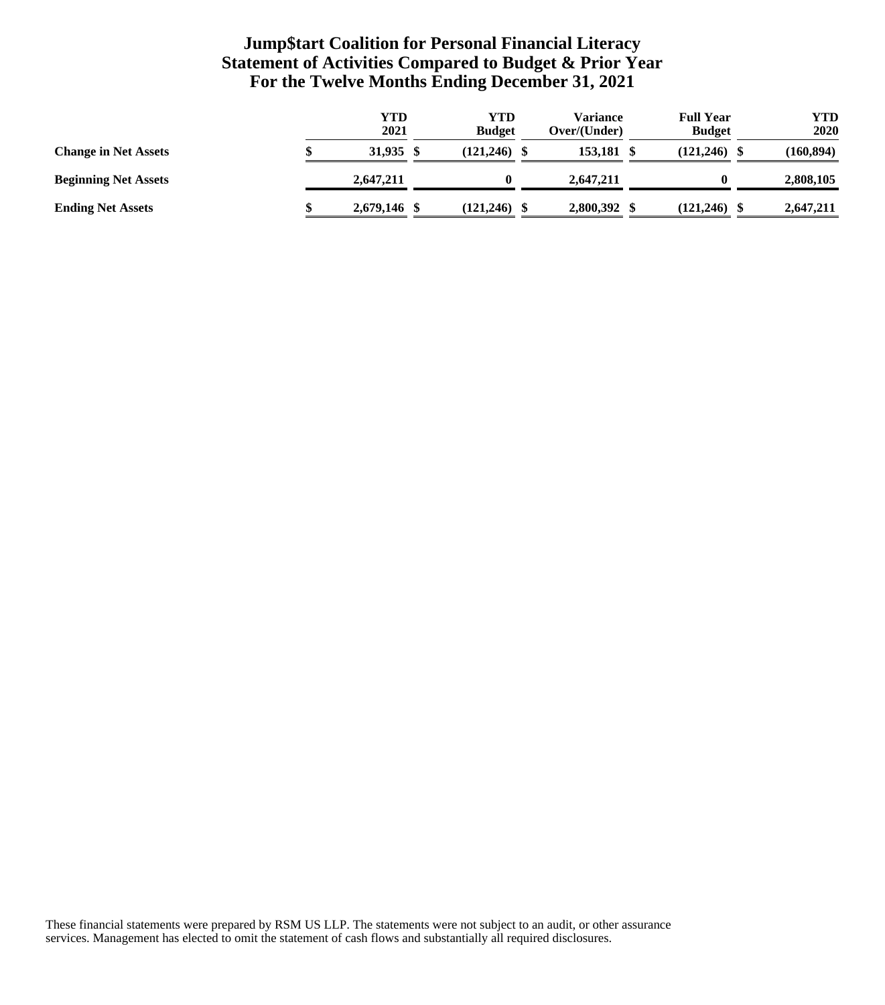## **Jump\$tart Coalition for Personal Financial Literacy Statement of Activities Compared to Budget & Prior Year For the Twelve Months Ending December 31, 2021**

|                             | <b>YTD</b><br>2021 | YTD<br><b>Budget</b> | <b>Variance</b><br>Over/(Under) | <b>Full Year</b><br><b>Budget</b> | YTD<br>2020 |
|-----------------------------|--------------------|----------------------|---------------------------------|-----------------------------------|-------------|
| <b>Change in Net Assets</b> | 31.935 \$          | $(121, 246)$ \$      | 153.181                         | (121, 246)                        | (160, 894)  |
| <b>Beginning Net Assets</b> | 2.647.211          |                      | 2.647.211                       |                                   | 2,808,105   |
| <b>Ending Net Assets</b>    | 2,679,146 \$       | $(121, 246)$ \$      | 2,800,392                       | (121, 246)                        | 2,647,211   |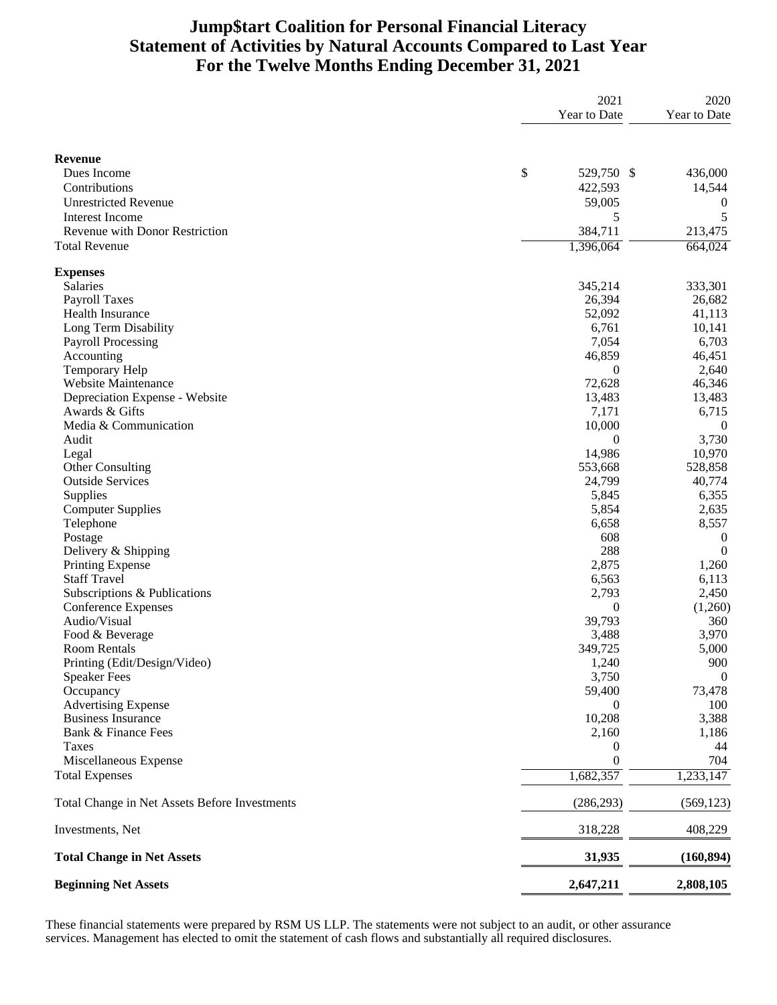# **Jump\$tart Coalition for Personal Financial Literacy Statement of Activities by Natural Accounts Compared to Last Year For the Twelve Months Ending December 31, 2021**

|                                               | 2021             | 2020             |
|-----------------------------------------------|------------------|------------------|
|                                               | Year to Date     | Year to Date     |
| Revenue                                       |                  |                  |
| Dues Income                                   | \$<br>529,750 \$ | 436,000          |
| Contributions                                 | 422,593          | 14,544           |
| <b>Unrestricted Revenue</b>                   | 59,005           | $\theta$         |
| <b>Interest Income</b>                        |                  | 5                |
| Revenue with Donor Restriction                | 5                |                  |
|                                               | 384,711          | 213,475          |
| <b>Total Revenue</b>                          | 1,396,064        | 664,024          |
| <b>Expenses</b>                               |                  |                  |
| Salaries                                      | 345,214          | 333,301          |
| <b>Payroll Taxes</b>                          | 26,394           | 26,682           |
| Health Insurance                              | 52,092           | 41,113           |
| Long Term Disability                          | 6,761            | 10,141           |
| <b>Payroll Processing</b>                     | 7,054            | 6,703            |
| Accounting                                    | 46,859           | 46,451           |
| Temporary Help                                | $\theta$         | 2,640            |
| <b>Website Maintenance</b>                    | 72,628           | 46,346           |
| Depreciation Expense - Website                | 13,483           | 13,483           |
| Awards & Gifts                                | 7,171            | 6,715            |
| Media & Communication                         | 10,000           | $\theta$         |
| Audit                                         | $\theta$         | 3,730            |
| Legal                                         | 14,986           | 10,970           |
| Other Consulting                              | 553,668          | 528,858          |
| <b>Outside Services</b>                       | 24,799           | 40,774           |
| Supplies                                      | 5,845            | 6,355            |
| <b>Computer Supplies</b>                      | 5,854            | 2,635            |
| Telephone                                     | 6,658            | 8,557            |
| Postage                                       | 608              | $\boldsymbol{0}$ |
| Delivery & Shipping                           | 288              | $\overline{0}$   |
| <b>Printing Expense</b>                       | 2,875            | 1,260            |
| <b>Staff Travel</b>                           | 6,563            | 6,113            |
| Subscriptions & Publications                  | 2,793            | 2,450            |
| <b>Conference Expenses</b>                    | $\theta$         | (1,260)          |
| Audio/Visual                                  | 39,793           | 360              |
| Food & Beverage                               | 3,488            | 3,970            |
| <b>Room Rentals</b>                           | 349,725          | 5,000            |
| Printing (Edit/Design/Video)                  | 1,240            | $900\,$          |
| <b>Speaker Fees</b>                           | 3,750            | $\boldsymbol{0}$ |
| Occupancy                                     | 59,400           | 73,478           |
| <b>Advertising Expense</b>                    | 0                | 100              |
| <b>Business Insurance</b>                     | 10,208           | 3,388            |
| Bank & Finance Fees                           | 2,160            | 1,186            |
| Taxes                                         | 0                | 44               |
| Miscellaneous Expense                         | $\theta$         | 704              |
| <b>Total Expenses</b>                         | 1,682,357        | 1,233,147        |
| Total Change in Net Assets Before Investments | (286, 293)       | (569, 123)       |
|                                               |                  |                  |
| Investments, Net                              | 318,228          | 408,229          |
| <b>Total Change in Net Assets</b>             | 31,935           | (160, 894)       |
| <b>Beginning Net Assets</b>                   | 2,647,211        | 2,808,105        |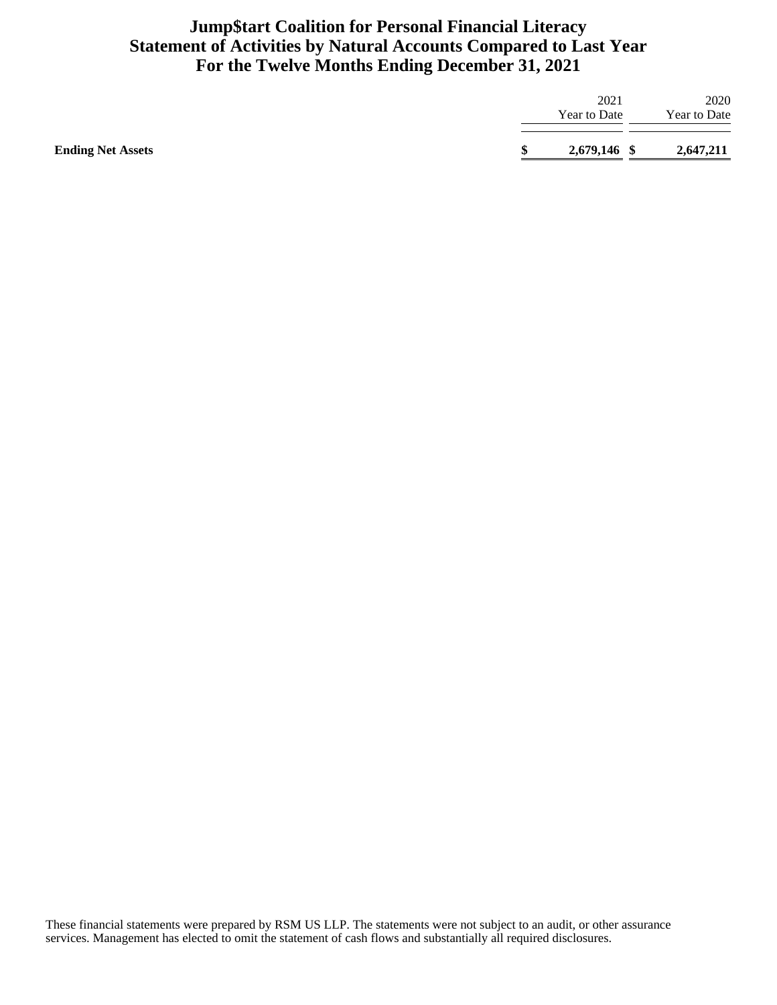## **Jump\$tart Coalition for Personal Financial Literacy Statement of Activities by Natural Accounts Compared to Last Year For the Twelve Months Ending December 31, 2021**

| <b>Ending Net Assets</b> | 2,679,146 \$         | 2,647,211                   |
|--------------------------|----------------------|-----------------------------|
|                          | 2021<br>Year to Date | 2020<br><b>Year to Date</b> |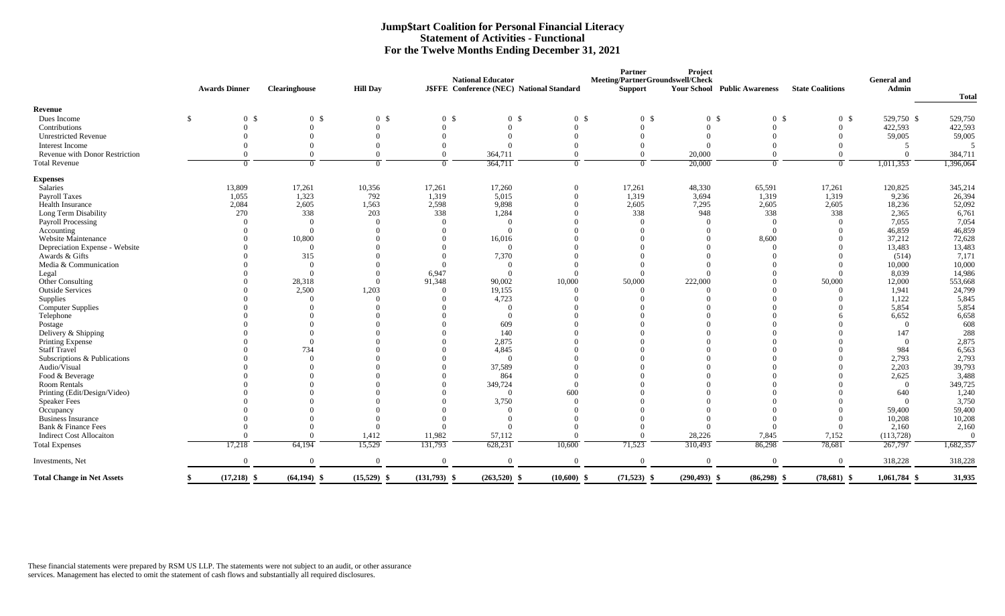|                                   |               |                      |                      |                 |                | <b>National Educator</b>                  |                | <b>Partner</b><br>Meeting/PartnerGroundswell/Check | Project                             |                |                         | <b>General and</b> |                |
|-----------------------------------|---------------|----------------------|----------------------|-----------------|----------------|-------------------------------------------|----------------|----------------------------------------------------|-------------------------------------|----------------|-------------------------|--------------------|----------------|
|                                   |               | <b>Awards Dinner</b> | <b>Clearinghouse</b> | <b>Hill Day</b> |                | J\$FFE Conference (NEC) National Standard |                | <b>Support</b>                                     | <b>Your School Public Awareness</b> |                | <b>State Coalitions</b> | <b>Admin</b>       |                |
|                                   |               |                      |                      |                 |                |                                           |                |                                                    |                                     |                |                         |                    | <b>Total</b>   |
| Revenue<br>Dues Income            | <sup>\$</sup> | 0 <sup>5</sup>       | 0 <sup>5</sup>       |                 |                | 0 <sup>5</sup>                            | 0 <sup>5</sup> | 0 <sup>5</sup>                                     |                                     | 0 <sup>5</sup> |                         | 529,750 \$         | 529,750        |
|                                   |               |                      |                      | 0 <sup>5</sup>  | 0 <sup>5</sup> |                                           |                |                                                    | 0 <sup>5</sup><br>$\Omega$          |                | 0 <sup>5</sup>          |                    |                |
| Contributions                     |               |                      |                      |                 |                |                                           |                |                                                    |                                     |                | $\Omega$                | 422,593            | 422,593        |
| <b>Unrestricted Revenue</b>       |               |                      |                      |                 |                |                                           |                |                                                    |                                     |                |                         | 59,005             | 59,005         |
| Interest Income                   |               |                      | $\Omega$             |                 |                |                                           |                |                                                    |                                     |                |                         |                    |                |
| Revenue with Donor Restriction    |               |                      | $\Omega$             |                 |                | 364,711                                   |                | $\Omega$                                           | 20,000                              |                |                         |                    | 384,711        |
| <b>Total Revenue</b>              |               |                      | $\Omega$             | 0               | $\Omega$       | 364,711                                   | $\Omega$       | $\theta$                                           | 20,000                              | $\Omega$       | $\Omega$                | 1,011,353          | 1,396,064      |
| <b>Expenses</b>                   |               |                      |                      |                 |                |                                           |                |                                                    |                                     |                |                         |                    |                |
| Salaries                          |               | 13,809               | 17,261               | 10,356          | 17,261         | 17,260                                    |                | 17,261                                             | 48,330                              | 65,591         | 17,261                  | 120,825            | 345,214        |
| Payroll Taxes                     |               | 1,055                | 1,323                | 792             | 1,319          | 5,015                                     |                | 1,319                                              | 3,694                               | 1,319          | 1,319                   | 9,236              | 26,394         |
| Health Insurance                  |               | 2,084                | 2,605                | 1,563           | 2,598          | 9,898                                     |                | 2,605                                              | 7,295                               | 2,605          | 2,605                   | 18,236             | 52,092         |
| Long Term Disability              |               | 270                  | 338                  | 203             | 338            | 1,284                                     |                | 338                                                | 948                                 | 338            | 338                     | 2,365              | 6,761          |
| Payroll Processing                |               |                      | $\Omega$             |                 |                |                                           |                | $\Omega$                                           |                                     | $\overline{0}$ |                         | 7,055              | 7,054          |
| Accounting                        |               |                      | $\Omega$             |                 |                |                                           |                |                                                    |                                     | $\overline{0}$ |                         | 46,859             | 46,859         |
| Website Maintenance               |               |                      | 10,800               |                 |                | 16,016                                    |                |                                                    |                                     | 8,600          |                         | 37,212             | 72,628         |
| Depreciation Expense - Website    |               |                      | $\Omega$             |                 |                | $\Omega$                                  |                |                                                    |                                     |                |                         | 13,483             | 13,483         |
| Awards & Gifts                    |               |                      | 315                  |                 |                | 7,370                                     |                |                                                    |                                     |                |                         | (514)              | 7,171          |
| Media & Communication             |               |                      | $\overline{0}$       |                 |                |                                           |                |                                                    |                                     |                |                         | 10,000             | 10,000         |
| Legal                             |               |                      | $\Omega$             |                 | 6,947          |                                           |                |                                                    |                                     |                |                         | 8,039              | 14,986         |
| Other Consulting                  |               |                      | 28,318               | 0               | 91,348         | 90,002                                    | 10,000         | 50,000                                             | 222,000                             |                | 50,000                  | 12,000             | 553,668        |
| <b>Outside Services</b>           |               |                      | 2,500                | 1,203           |                | 19,155                                    |                |                                                    |                                     |                |                         | 1,941              | 24,799         |
| Supplies                          |               |                      | $\Omega$             |                 |                | 4,723                                     |                |                                                    |                                     |                |                         | 1,122              | 5,845          |
| <b>Computer Supplies</b>          |               |                      |                      |                 |                |                                           |                |                                                    |                                     |                |                         | 5,854              | 5,854          |
| Telephone                         |               |                      |                      |                 |                |                                           |                |                                                    |                                     |                |                         | 6,652              | 6,658          |
| Postage                           |               |                      |                      |                 |                | 609                                       |                |                                                    |                                     |                |                         | $\theta$           | 608            |
| Delivery & Shipping               |               |                      |                      |                 |                | 140                                       |                |                                                    |                                     |                |                         | 147                | 288            |
| Printing Expense                  |               |                      | $\Omega$             |                 |                | 2,875                                     |                |                                                    |                                     |                |                         |                    | 2,875          |
| <b>Staff Travel</b>               |               |                      | 734                  |                 |                | 4,845                                     |                |                                                    |                                     |                |                         | 984                | 6,563          |
| Subscriptions & Publications      |               |                      | $\Omega$             |                 |                | $\Omega$                                  |                |                                                    |                                     |                |                         | 2,793              | 2,793          |
| Audio/Visual                      |               |                      |                      |                 |                | 37,589                                    |                |                                                    |                                     |                |                         | 2,203              | 39,793         |
| Food & Beverage                   |               |                      |                      |                 |                | 864                                       |                |                                                    |                                     |                |                         | 2,625              | 3,488          |
| Room Rentals                      |               |                      |                      |                 |                | 349,724                                   |                |                                                    |                                     |                |                         | $\theta$           | 349,725        |
| Printing (Edit/Design/Video)      |               |                      |                      |                 |                |                                           | 600            |                                                    |                                     |                |                         | 640                | 1,240          |
| <b>Speaker Fees</b>               |               |                      |                      |                 |                | 3,750                                     |                |                                                    |                                     |                |                         | $\Omega$           | 3,750          |
| Occupancy                         |               |                      |                      |                 |                | $\Omega$                                  |                |                                                    |                                     |                |                         | 59,400             | 59,400         |
| <b>Business Insurance</b>         |               |                      |                      |                 | - 0            |                                           |                |                                                    |                                     | $\Omega$       | $\overline{0}$          | 10,208             | 10,208         |
| Bank & Finance Fees               |               |                      |                      |                 |                |                                           |                |                                                    | $\Omega$                            |                |                         | 2,160              | 2,160          |
| <b>Indirect Cost Allocaiton</b>   |               |                      |                      | 1,412           | 11,982         | 57,112                                    |                |                                                    | 28,226                              | 7,845          | 7,152                   | (113, 728)         | $\overline{0}$ |
| <b>Total Expenses</b>             |               | 17,218               | 64,194               | 15,529          | 131,793        | 628,231                                   | 10,600         | 71,523                                             | 310,493                             | 86,298         | 78,681                  | 267,797            | 1,682,357      |
| Investments, Net                  |               |                      | $\Omega$             | $\overline{0}$  |                | $\Omega$                                  |                | $\overline{0}$                                     | $\theta$                            |                | $\overline{0}$          | 318,228            | 318,228        |
| <b>Total Change in Net Assets</b> |               | $(17,218)$ \$        | $(64, 194)$ \$       | $(15,529)$ \$   | $(131,793)$ \$ | $(263,520)$ \$                            | $(10,600)$ \$  | $(71,523)$ \$                                      | $(290, 493)$ \$                     | $(86,298)$ \$  | $(78,681)$ \$           | $1,061,784$ \$     | 31,935         |

### **Jump\$tart Coalition for Personal Financial Literacy Statement of Activities - Functional For the Twelve Months Ending December 31, 2021**